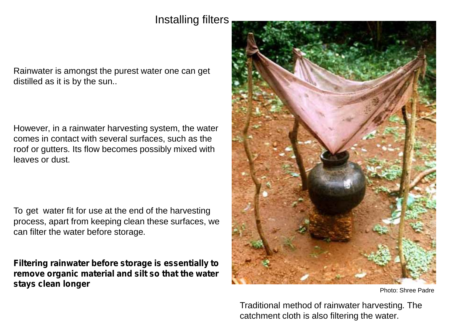Installing filters

Rainwater is amongst the purest water one can get distilled as it is by the sun..

However, in a rainwater harvesting system, the water comes in contact with several surfaces, such as the roof or gutters. Its flow becomes possibly mixed with leaves or dust.

To get water fit for use at the end of the harvesting process, apart from keeping clean these surfaces, we can filter the water before storage.

**Filtering rainwater before storage is essentially to remove organic material and silt so that the water stays clean longer**



Photo: Shree Padre

Traditional method of rainwater harvesting. The catchment cloth is also filtering the water.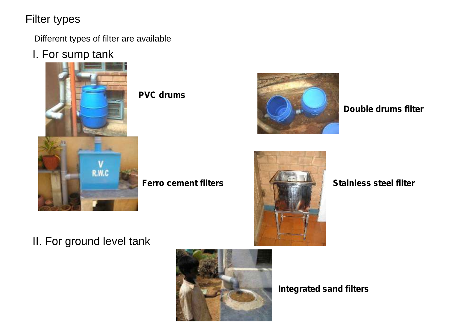# Filter types

Different types of filter are available

I. For sump tank



**PVC drums**





**Double drums filter**



# II. For ground level tank



**Integrated sand filters**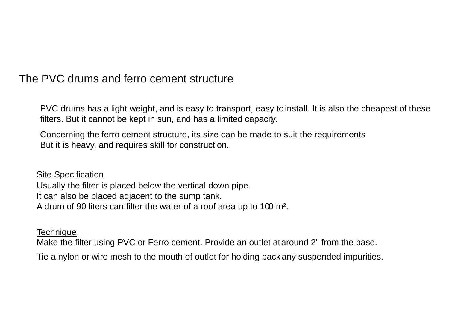### The PVC drums and ferro cement structure

PVC drums has a light weight, and is easy to transport, easy to install. It is also the cheapest of these filters. But it cannot be kept in sun, and has a limited capacity.

Concerning the ferro cement structure, its size can be made to suit the requirements But it is heavy, and requires skill for construction.

Site Specification Usually the filter is placed below the vertical down pipe. It can also be placed adjacent to the sump tank. A drum of 90 liters can filter the water of a roof area up to 100 m².

**Technique** 

Make the filter using PVC or Ferro cement. Provide an outlet at around 2" from the base.

Tie a nylon or wire mesh to the mouth of outlet for holding back any suspended impurities.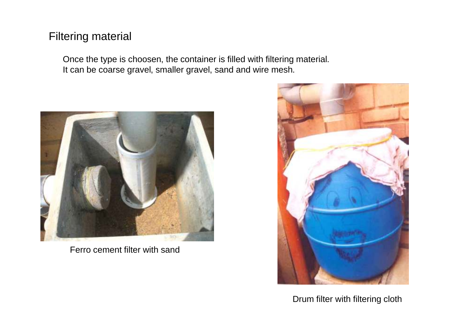## Filtering material

Once the type is choosen, the container is filled with filtering material. It can be coarse gravel, smaller gravel, sand and wire mesh.



Ferro cement filter with sand



Drum filter with filtering cloth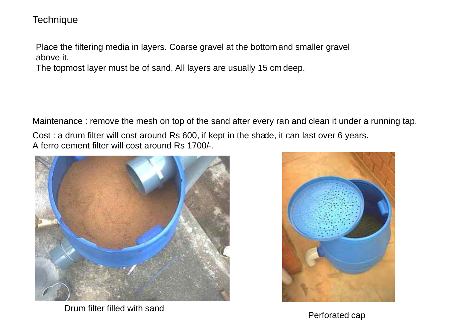#### **Technique**

Place the filtering media in layers. Coarse gravel at the bottomand smaller gravel above it.

The topmost layer must be of sand. All layers are usually 15 cm deep.

Maintenance : remove the mesh on top of the sand after every rain and clean it under a running tap. Cost : a drum filter will cost around Rs 600, if kept in the shade, it can last over 6 years. A ferro cement filter will cost around Rs 1700/-.



Drum filter filled with sand



Perforated cap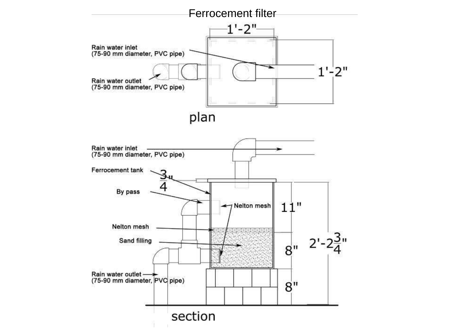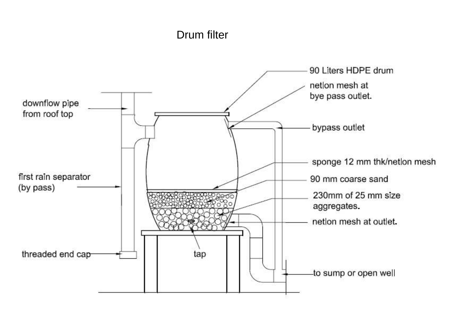#### Drum filter

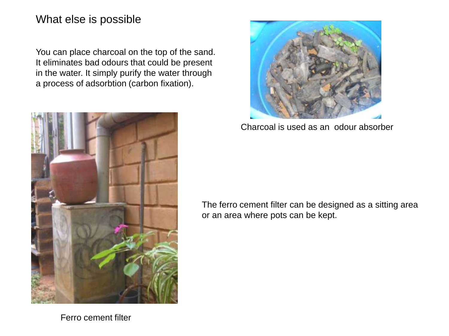### What else is possible

You can place charcoal on the top of the sand. It eliminates bad odours that could be present in the water. It simply purify the water through a process of adsorbtion (carbon fixation).





Charcoal is used as an odour absorber

The ferro cement filter can be designed as a sitting area or an area where pots can be kept.

Ferro cement filter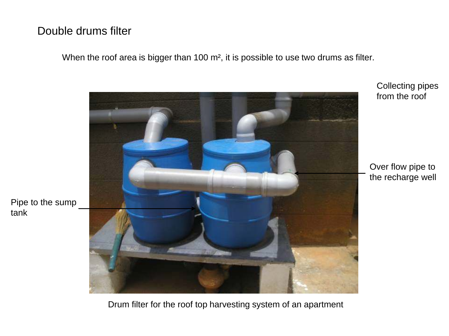# Double drums filter

When the roof area is bigger than 100 m<sup>2</sup>, it is possible to use two drums as filter.



Collecting pipes from the roof

Over flow pipe to the recharge well

Pipe to the sump tank

Drum filter for the roof top harvesting system of an apartment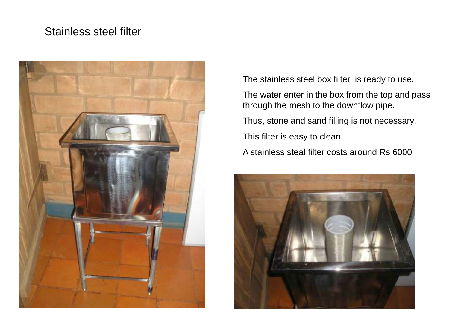# Stainless steel filter



The stainless steel box filter is ready to use.

The water enter in the box from the top and pass through the mesh to the downflow pipe.

Thus, stone and sand filling is not necessary.

This filter is easy to clean.

A stainless steal filter costs around Rs 6000

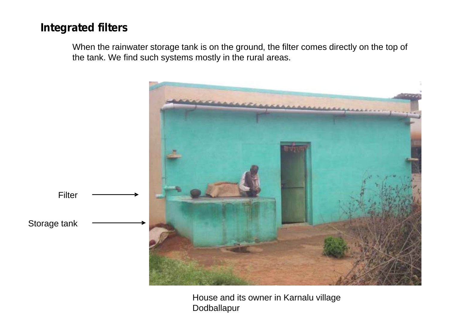## **Integrated filters**

When the rainwater storage tank is on the ground, the filter comes directly on the top of the tank. We find such systems mostly in the rural areas.



House and its owner in Karnalu village Dodballapur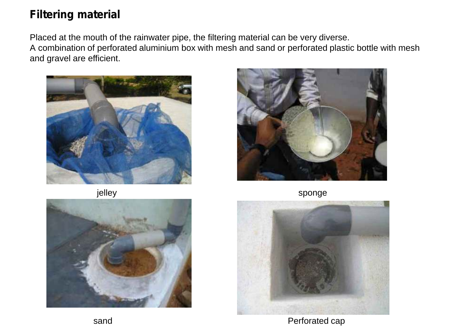# **Filtering material**

Placed at the mouth of the rainwater pipe, the filtering material can be very diverse. A combination of perforated aluminium box with mesh and sand or perforated plastic bottle with mesh and gravel are efficient.



jelley





sponge